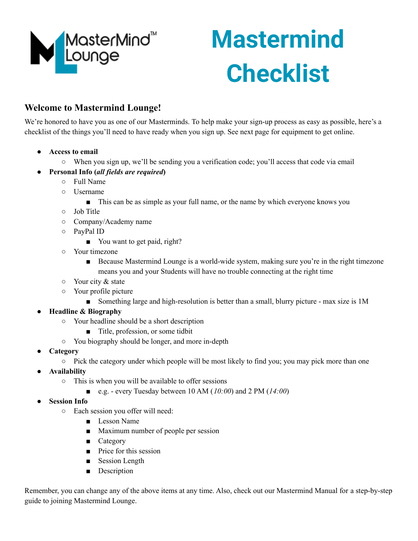

# **Mastermind Checklist**

## **Welcome to Mastermind Lounge!**

We're honored to have you as one of our Masterminds. To help make your sign-up process as easy as possible, here's a checklist of the things you'll need to have ready when you sign up. See next page for equipment to get online.

- **● Access to email**
	- When you sign up, we'll be sending you a verification code; you'll access that code via email
- **● Personal Info (***all fields are required***)**
	- Full Name
	- Username
		- This can be as simple as your full name, or the name by which everyone knows you
	- Job Title
	- Company/Academy name
	- PayPal ID
		- You want to get paid, right?
	- Your timezone
		- Because Mastermind Lounge is a world-wide system, making sure you're in the right timezone means you and your Students will have no trouble connecting at the right time
	- Your city & state
	- Your profile picture
		- Something large and high-resolution is better than a small, blurry picture max size is 1M
- **● Headline & Biography**
	- Your headline should be a short description
		- Title, profession, or some tidbit
	- You biography should be longer, and more in-depth
- **● Category**
	- Pick the category under which people will be most likely to find you; you may pick more than one
- **● Availability**
	- This is when you will be available to offer sessions
		- e.g. every Tuesday between 10 AM (*10:00*) and 2 PM (*14:00*)
- **● Session Info**
	- Each session you offer will need:
		- Lesson Name
		- Maximum number of people per session
		- Category
		- Price for this session
		- Session Length
		- Description

Remember, you can change any of the above items at any time. Also, check out our Mastermind Manual for a step-by-step guide to joining Mastermind Lounge.